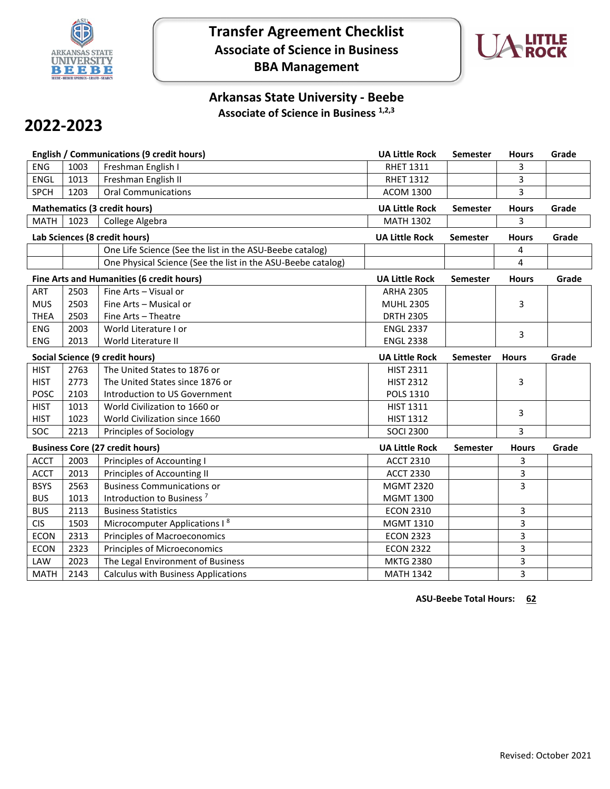

# **Transfer Agreement Checklist Associate of Science in Business BBA Management**



## **Arkansas State University - Beebe Associate of Science in Business 1,2,3**

# **2022-2023**

|                                        |                               | English / Communications (9 credit hours)                    | <b>UA Little Rock</b> | <b>Semester</b> | <b>Hours</b> | Grade |
|----------------------------------------|-------------------------------|--------------------------------------------------------------|-----------------------|-----------------|--------------|-------|
| <b>ENG</b>                             | 1003                          | Freshman English I                                           | <b>RHET 1311</b>      |                 | 3            |       |
| <b>ENGL</b>                            | 1013                          | Freshman English II                                          | <b>RHET 1312</b>      |                 | 3            |       |
| <b>SPCH</b>                            | 1203                          | <b>Oral Communications</b>                                   | <b>ACOM 1300</b>      |                 | 3            |       |
|                                        |                               | <b>Mathematics (3 credit hours)</b>                          | <b>UA Little Rock</b> | <b>Semester</b> | <b>Hours</b> | Grade |
| <b>MATH</b>                            | 1023                          | College Algebra                                              | <b>MATH 1302</b>      |                 | 3            |       |
|                                        | Lab Sciences (8 credit hours) |                                                              |                       | <b>Semester</b> | <b>Hours</b> | Grade |
|                                        |                               | One Life Science (See the list in the ASU-Beebe catalog)     |                       |                 | 4            |       |
|                                        |                               | One Physical Science (See the list in the ASU-Beebe catalog) |                       |                 | 4            |       |
|                                        |                               | Fine Arts and Humanities (6 credit hours)                    | <b>UA Little Rock</b> | <b>Semester</b> | <b>Hours</b> | Grade |
| <b>ART</b>                             | 2503                          | Fine Arts - Visual or                                        | <b>ARHA 2305</b>      |                 |              |       |
| <b>MUS</b>                             | 2503                          | Fine Arts - Musical or                                       | <b>MUHL 2305</b>      |                 | 3            |       |
| <b>THEA</b>                            | 2503                          | Fine Arts - Theatre                                          | <b>DRTH 2305</b>      |                 |              |       |
| <b>ENG</b>                             | 2003                          | World Literature I or                                        | <b>ENGL 2337</b>      |                 | 3            |       |
| <b>ENG</b>                             | 2013                          | World Literature II                                          | <b>ENGL 2338</b>      |                 |              |       |
|                                        |                               | <b>Social Science (9 credit hours)</b>                       | <b>UA Little Rock</b> | <b>Semester</b> | <b>Hours</b> | Grade |
| <b>HIST</b>                            | 2763                          | The United States to 1876 or                                 | <b>HIST 2311</b>      |                 |              |       |
| <b>HIST</b>                            | 2773                          | The United States since 1876 or                              | <b>HIST 2312</b>      |                 | 3            |       |
| <b>POSC</b>                            | 2103                          | Introduction to US Government                                | <b>POLS 1310</b>      |                 |              |       |
| <b>HIST</b>                            | 1013                          | World Civilization to 1660 or                                | <b>HIST 1311</b>      |                 | 3            |       |
| <b>HIST</b>                            | 1023                          | World Civilization since 1660                                | <b>HIST 1312</b>      |                 |              |       |
| <b>SOC</b>                             | 2213                          | Principles of Sociology                                      | <b>SOCI 2300</b>      |                 | 3            |       |
| <b>Business Core (27 credit hours)</b> |                               |                                                              | <b>UA Little Rock</b> | Semester        | <b>Hours</b> | Grade |
| <b>ACCT</b>                            | 2003                          | Principles of Accounting I                                   | <b>ACCT 2310</b>      |                 | 3            |       |
| <b>ACCT</b>                            | 2013                          | Principles of Accounting II                                  | <b>ACCT 2330</b>      |                 | 3            |       |
| <b>BSYS</b>                            | 2563                          | <b>Business Communications or</b>                            | <b>MGMT 2320</b>      |                 | 3            |       |
| <b>BUS</b>                             | 1013                          | Introduction to Business <sup>7</sup>                        | <b>MGMT 1300</b>      |                 |              |       |
| <b>BUS</b>                             | 2113                          | <b>Business Statistics</b>                                   | <b>ECON 2310</b>      |                 | 3            |       |
| <b>CIS</b>                             | 1503                          | Microcomputer Applications I <sup>8</sup>                    | <b>MGMT 1310</b>      |                 | 3            |       |
| <b>ECON</b>                            | 2313                          | <b>Principles of Macroeconomics</b>                          | <b>ECON 2323</b>      |                 | 3            |       |
| <b>ECON</b>                            | 2323                          | <b>Principles of Microeconomics</b>                          | <b>ECON 2322</b>      |                 | 3            |       |
| LAW                                    | 2023                          | The Legal Environment of Business                            | <b>MKTG 2380</b>      |                 | 3            |       |
| <b>MATH</b>                            | 2143                          | <b>Calculus with Business Applications</b>                   | <b>MATH 1342</b>      |                 | 3            |       |

**ASU-Beebe Total Hours: 62**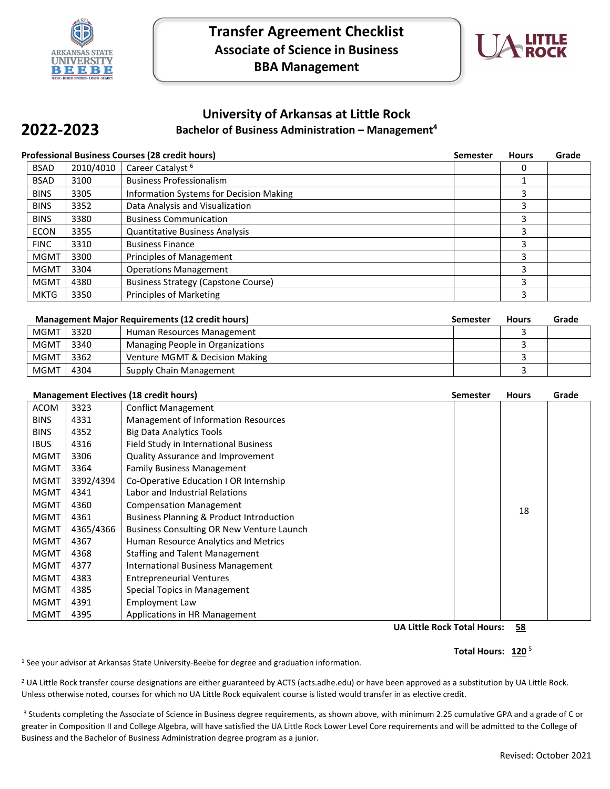

**2022-2023**



## **University of Arkansas at Little Rock Bachelor of Business Administration – Management4**

### **Professional Business Courses (28 credit hours) Semester Hours Grade**

| <b>BSAD</b> | 2010/4010 | Career Catalyst <sup>6</sup>               |   |  |
|-------------|-----------|--------------------------------------------|---|--|
| <b>BSAD</b> | 3100      | <b>Business Professionalism</b>            |   |  |
| <b>BINS</b> | 3305      | Information Systems for Decision Making    | 3 |  |
| <b>BINS</b> | 3352      | Data Analysis and Visualization            | 3 |  |
| <b>BINS</b> | 3380      | <b>Business Communication</b>              | 3 |  |
| <b>ECON</b> | 3355      | <b>Quantitative Business Analysis</b>      | 3 |  |
| <b>FINC</b> | 3310      | <b>Business Finance</b>                    | 3 |  |
| <b>MGMT</b> | 3300      | Principles of Management                   | 3 |  |
| <b>MGMT</b> | 3304      | <b>Operations Management</b>               | 3 |  |
| <b>MGMT</b> | 4380      | <b>Business Strategy (Capstone Course)</b> |   |  |
| <b>MKTG</b> | 3350      | Principles of Marketing                    | 3 |  |

| <b>Management Major Requirements (12 credit hours)</b> |      |                                  | <b>Semester</b> | <b>Hours</b> | Grade |
|--------------------------------------------------------|------|----------------------------------|-----------------|--------------|-------|
| <b>MGMT</b>                                            | 3320 | Human Resources Management       |                 |              |       |
| <b>MGMT</b>                                            | 3340 | Managing People in Organizations |                 |              |       |
| <b>MGMT</b>                                            | 3362 | Venture MGMT & Decision Making   |                 |              |       |
| <b>MGMT</b>                                            | 4304 | Supply Chain Management          |                 |              |       |

| <b>Management Electives (18 credit hours)</b> |           |                                                     | Semester | <b>Hours</b> | Grade |
|-----------------------------------------------|-----------|-----------------------------------------------------|----------|--------------|-------|
| <b>ACOM</b>                                   | 3323      | <b>Conflict Management</b>                          |          |              |       |
| <b>BINS</b>                                   | 4331      | Management of Information Resources                 |          |              |       |
| <b>BINS</b>                                   | 4352      | <b>Big Data Analytics Tools</b>                     |          |              |       |
| <b>IBUS</b>                                   | 4316      | Field Study in International Business               |          |              |       |
| <b>MGMT</b>                                   | 3306      | Quality Assurance and Improvement                   |          |              |       |
| <b>MGMT</b>                                   | 3364      | <b>Family Business Management</b>                   |          |              |       |
| <b>MGMT</b>                                   | 3392/4394 | Co-Operative Education I OR Internship              |          |              |       |
| <b>MGMT</b>                                   | 4341      | Labor and Industrial Relations                      |          |              |       |
| <b>MGMT</b>                                   | 4360      | <b>Compensation Management</b>                      |          | 18           |       |
| <b>MGMT</b>                                   | 4361      | <b>Business Planning &amp; Product Introduction</b> |          |              |       |
| <b>MGMT</b>                                   | 4365/4366 | Business Consulting OR New Venture Launch           |          |              |       |
| MGMT                                          | 4367      | Human Resource Analytics and Metrics                |          |              |       |
| <b>MGMT</b>                                   | 4368      | <b>Staffing and Talent Management</b>               |          |              |       |
| <b>MGMT</b>                                   | 4377      | <b>International Business Management</b>            |          |              |       |
| <b>MGMT</b>                                   | 4383      | <b>Entrepreneurial Ventures</b>                     |          |              |       |
| <b>MGMT</b>                                   | 4385      | Special Topics in Management                        |          |              |       |
| MGMT                                          | 4391      | Employment Law                                      |          |              |       |
| <b>MGMT</b>                                   | 4395      | Applications in HR Management                       |          |              |       |

**UA Little Rock Total Hours: 58**

#### Total Hours: 120<sup>5</sup>

<sup>1</sup> See your advisor at Arkansas State University-Beebe for degree and graduation information.

<sup>2</sup> UA Little Rock transfer course designations are either guaranteed by ACTS (acts.adhe.edu) or have been approved as a substitution by UA Little Rock. Unless otherwise noted, courses for which no UA Little Rock equivalent course is listed would transfer in as elective credit.

<sup>3</sup> Students completing the Associate of Science in Business degree requirements, as shown above, with minimum 2.25 cumulative GPA and a grade of C or greater in Composition II and College Algebra, will have satisfied the UA Little Rock Lower Level Core requirements and will be admitted to the College of Business and the Bachelor of Business Administration degree program as a junior.